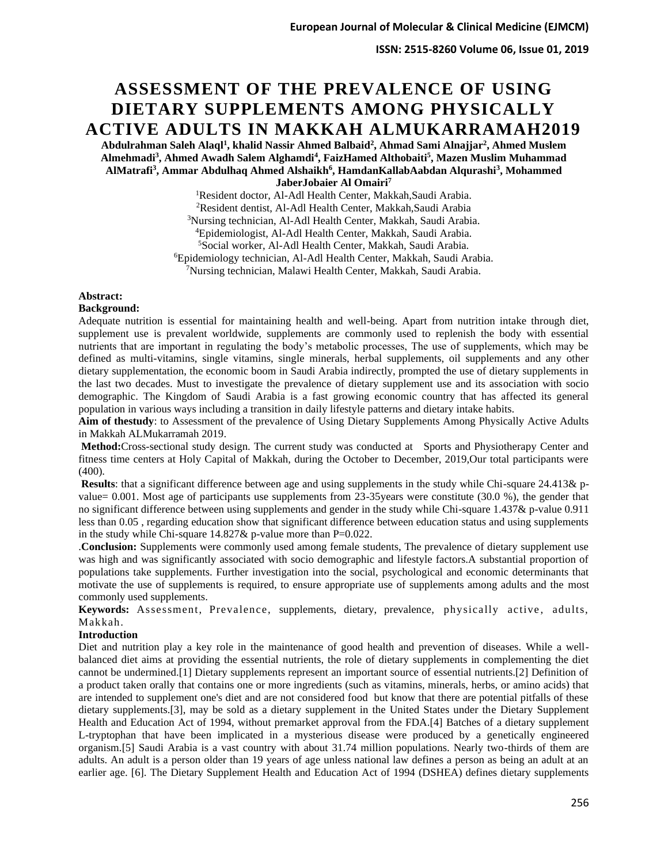# **ASSESSMENT OF THE PREVALENCE OF USING DIETARY SUPPLEMENTS AMONG PHYSICALLY ACTIVE ADULTS IN MAKKAH ALMUKARRAMAH2019**

**Abdulrahman Saleh Alaql<sup>1</sup> , khalid Nassir Ahmed Balbaid<sup>2</sup> , Ahmad Sami Alnajjar<sup>2</sup> , Ahmed Muslem Almehmadi<sup>3</sup> , Ahmed Awadh Salem Alghamdi<sup>4</sup> , FaizHamed Althobaiti<sup>5</sup> , Mazen Muslim Muhammad AlMatrafi<sup>3</sup> , Ammar Abdulhaq Ahmed Alshaikh<sup>6</sup> , HamdanKallabAabdan Alqurashi<sup>3</sup> , Mohammed** 

**JaberJobaier Al Omairi<sup>7</sup>**

Resident doctor, Al-Adl Health Center, Makkah,Saudi Arabia. Resident dentist, Al-Adl Health Center, Makkah,Saudi Arabia Nursing technician, Al-Adl Health Center, Makkah, Saudi Arabia. Epidemiologist, Al-Adl Health Center, Makkah, Saudi Arabia. Social worker, Al-Adl Health Center, Makkah, Saudi Arabia. Epidemiology technician, Al-Adl Health Center, Makkah, Saudi Arabia. Nursing technician, Malawi Health Center, Makkah, Saudi Arabia.

## **Abstract:**

#### **Background:**

Adequate nutrition is essential for maintaining health and well-being. Apart from nutrition intake through diet, supplement use is prevalent worldwide, supplements are commonly used to replenish the body with essential nutrients that are important in regulating the body's metabolic processes, The use of supplements, which may be defined as multi-vitamins, single vitamins, single minerals, herbal supplements, oil supplements and any other dietary supplementation, the economic boom in Saudi Arabia indirectly, prompted the use of dietary supplements in the last two decades. Must to investigate the prevalence of dietary supplement use and its association with socio demographic. The Kingdom of Saudi Arabia is a fast growing economic country that has affected its general population in various ways including a transition in daily lifestyle patterns and dietary intake habits.

**Aim of thestudy**: to Assessment of the prevalence of Using Dietary Supplements Among Physically Active Adults in Makkah ALMukarramah 2019.

**Method:**Cross-sectional study design. The current study was conducted at Sports and Physiotherapy Center and fitness time centers at Holy Capital of Makkah, during the October to December, 2019,Our total participants were (400).

**Results**: that a significant difference between age and using supplements in the study while Chi-square 24.413& pvalue= 0.001. Most age of participants use supplements from 23-35years were constitute (30.0 %), the gender that no significant difference between using supplements and gender in the study while Chi-square 1.437& p-value 0.911 less than 0.05 , regarding education show that significant difference between education status and using supplements in the study while Chi-square 14.827& p-value more than P=0.022.

.**Conclusion:** Supplements were commonly used among female students, The prevalence of dietary supplement use was high and was significantly associated with socio demographic and lifestyle factors.A substantial proportion of populations take supplements. Further investigation into the social, psychological and economic determinants that motivate the use of supplements is required, to ensure appropriate use of supplements among adults and the most commonly used supplements.

Keywords: Assessment, Prevalence, supplements, dietary, prevalence, physically active, adults, Makkah.

#### **Introduction**

Diet and nutrition play a key role in the maintenance of good health and prevention of diseases. While a wellbalanced diet aims at providing the essential nutrients, the role of dietary supplements in complementing the diet cannot be undermined.[1] Dietary supplements represent an important source of essential nutrients.[2] Definition of a product taken orally that contains one or more ingredients (such as vitamins, minerals, herbs, or amino acids) that are intended to supplement one's diet and are not considered food but know that there are potential pitfalls of these dietary supplements.[3], may be sold as a dietary supplement in the United States under the Dietary Supplement Health and Education Act of 1994, without premarket approval from the FDA.[4] Batches of a dietary supplement L-tryptophan that have been implicated in a mysterious disease were produced by a genetically engineered organism.[5] Saudi Arabia is a vast country with about 31.74 million populations. Nearly two-thirds of them are adults. An adult is a person older than 19 years of age unless national law defines a person as being an adult at an earlier age. [6]. The Dietary Supplement Health and Education Act of 1994 (DSHEA) defines dietary supplements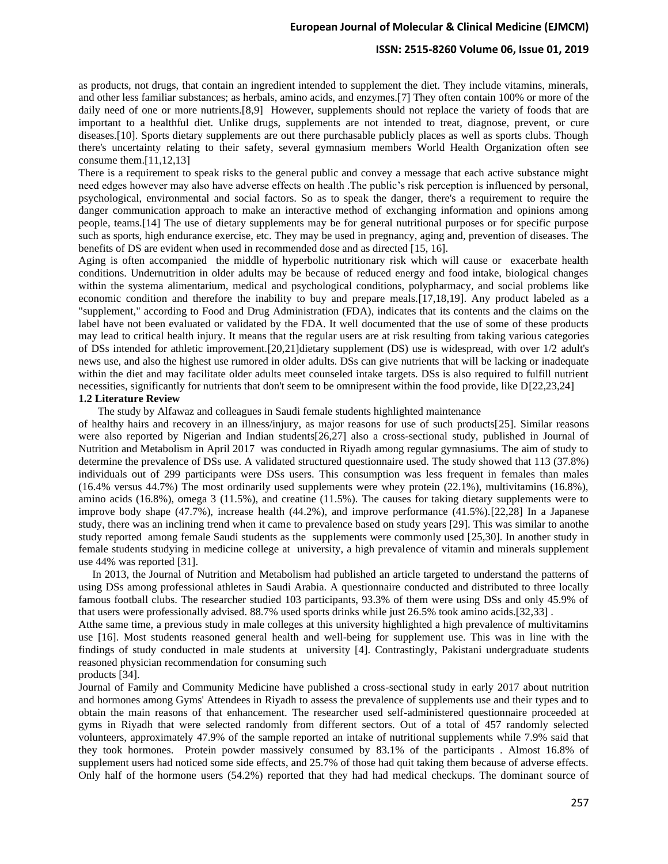## **ISSN: 2515-8260 Volume 06, Issue 01, 2019**

as products, not drugs, that contain an ingredient intended to supplement the diet. They include vitamins, minerals, and other less familiar substances; as herbals, amino acids, and enzymes.[7] They often contain 100% or more of the daily need of one or more nutrients.[8,9] However, supplements should not replace the variety of foods that are important to a healthful diet. Unlike drugs, supplements are not intended to treat, diagnose, prevent, or cure diseases.[10]. Sports dietary supplements are out there purchasable publicly places as well as sports clubs. Though there's uncertainty relating to their safety, several gymnasium members World Health Organization often see consume them.[11,12,13]

There is a requirement to speak risks to the general public and convey a message that each active substance might need edges however may also have adverse effects on health .The public's risk perception is influenced by personal, psychological, environmental and social factors. So as to speak the danger, there's a requirement to require the danger communication approach to make an interactive method of exchanging information and opinions among people, teams.[14] The use of dietary supplements may be for general nutritional purposes or for specific purpose such as sports, high endurance exercise, etc. They may be used in pregnancy, aging and, prevention of diseases. The benefits of DS are evident when used in recommended dose and as directed [15, 16].

Aging is often accompanied the middle of hyperbolic nutritionary risk which will cause or exacerbate health conditions. Undernutrition in older adults may be because of reduced energy and food intake, biological changes within the systema alimentarium, medical and psychological conditions, polypharmacy, and social problems like economic condition and therefore the inability to buy and prepare meals.[17,18,19]. Any product labeled as a "supplement," according to Food and Drug Administration (FDA), indicates that its contents and the claims on the label have not been evaluated or validated by the FDA. It well documented that the use of some of these products may lead to critical health injury. It means that the regular users are at risk resulting from taking various categories of DSs intended for athletic improvement.[20,21]dietary supplement (DS) use is widespread, with over 1/2 adult's news use, and also the highest use rumored in older adults. DSs can give nutrients that will be lacking or inadequate within the diet and may facilitate older adults meet counseled intake targets. DSs is also required to fulfill nutrient necessities, significantly for nutrients that don't seem to be omnipresent within the food provide, like D[22,23,24]

# **1.2 Literature Review**

The study by Alfawaz and colleagues in Saudi female students highlighted maintenance

of healthy hairs and recovery in an illness/injury, as major reasons for use of such products[25]. Similar reasons were also reported by Nigerian and Indian students[26,27] also a cross-sectional study, published in Journal of Nutrition and Metabolism in April 2017 was conducted in Riyadh among regular gymnasiums. The aim of study to determine the prevalence of DSs use. A validated structured questionnaire used. The study showed that 113 (37.8%) individuals out of 299 participants were DSs users. This consumption was less frequent in females than males (16.4% versus 44.7%) The most ordinarily used supplements were whey protein (22.1%), multivitamins (16.8%), amino acids (16.8%), omega 3 (11.5%), and creatine (11.5%). The causes for taking dietary supplements were to improve body shape (47.7%), increase health (44.2%), and improve performance (41.5%).[22,28] In a Japanese study, there was an inclining trend when it came to prevalence based on study years [29]. This was similar to anothe study reported among female Saudi students as the supplements were commonly used [25,30]. In another study in female students studying in medicine college at university, a high prevalence of vitamin and minerals supplement use 44% was reported [31].

 In 2013, the Journal of Nutrition and Metabolism had published an article targeted to understand the patterns of using DSs among professional athletes in Saudi Arabia. A questionnaire conducted and distributed to three locally famous football clubs. The researcher studied 103 participants, 93.3% of them were using DSs and only 45.9% of that users were professionally advised. 88.7% used sports drinks while just 26.5% took amino acids.[32,33] .

Atthe same time, a previous study in male colleges at this university highlighted a high prevalence of multivitamins use [16]. Most students reasoned general health and well-being for supplement use. This was in line with the findings of study conducted in male students at university [4]. Contrastingly, Pakistani undergraduate students reasoned physician recommendation for consuming such

products [34].

Journal of Family and Community Medicine have published a cross-sectional study in early 2017 about nutrition and hormones among Gyms' Attendees in Riyadh to assess the prevalence of supplements use and their types and to obtain the main reasons of that enhancement. The researcher used self-administered questionnaire proceeded at gyms in Riyadh that were selected randomly from different sectors. Out of a total of 457 randomly selected volunteers, approximately 47.9% of the sample reported an intake of nutritional supplements while 7.9% said that they took hormones. Protein powder massively consumed by 83.1% of the participants . Almost 16.8% of supplement users had noticed some side effects, and 25.7% of those had quit taking them because of adverse effects. Only half of the hormone users (54.2%) reported that they had had medical checkups. The dominant source of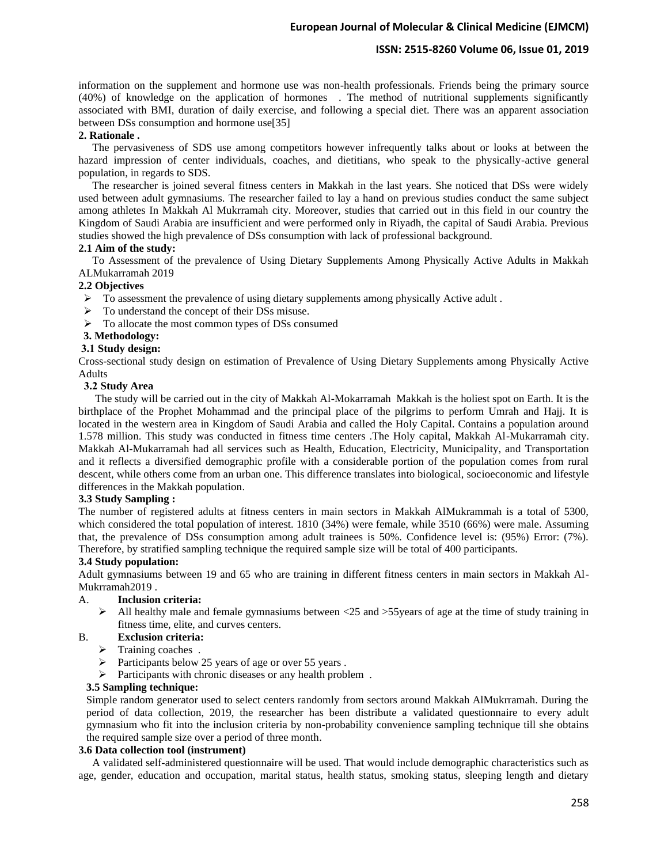## **ISSN: 2515-8260 Volume 06, Issue 01, 2019**

information on the supplement and hormone use was non-health professionals. Friends being the primary source (40%) of knowledge on the application of hormones . The method of nutritional supplements significantly associated with BMI, duration of daily exercise, and following a special diet. There was an apparent association between DSs consumption and hormone use[35]

### **2. Rationale .**

 The pervasiveness of SDS use among competitors however infrequently talks about or looks at between the hazard impression of center individuals, coaches, and dietitians, who speak to the physically-active general population, in regards to SDS.

 The researcher is joined several fitness centers in Makkah in the last years. She noticed that DSs were widely used between adult gymnasiums. The researcher failed to lay a hand on previous studies conduct the same subject among athletes In Makkah Al Mukrramah city. Moreover, studies that carried out in this field in our country the Kingdom of Saudi Arabia are insufficient and were performed only in Riyadh, the capital of Saudi Arabia. Previous studies showed the high prevalence of DSs consumption with lack of professional background.

#### **2.1 Aim of the study :**

 To Assessment of the prevalence of Using Dietary Supplements Among Physically Active Adults in Makkah ALMukarramah 2019

#### **2.2 Objectives**

- ➢ To assessment the prevalence of using dietary supplements among physically Active adult .
- ➢ To understand the concept of their DSs misuse.
- ➢ To allocate the most common types of DSs consumed

## **3. Methodology :**

### **3.1 Study design:**

Cross-sectional study design on estimation of Prevalence of Using Dietary Supplements among Physically Active Adults

#### **3.2 Study Area**

 The study will be carried out in the city of Makkah Al-Mokarramah Makkah is the holiest spot on Earth. It is the birthplace of the Prophet Mohammad and the principal place of the pilgrims to perform Umrah and Hajj. It is located in the western area in Kingdom of Saudi Arabia and called the Holy Capital. Contains a population around 1.578 million. This study was conducted in fitness time centers .The Holy capital, Makkah Al-Mukarramah city. Makkah Al-Mukarramah had all services such as Health, Education, Electricity, Municipality, and Transportation and it reflects a diversified demographic profile with a considerable portion of the population comes from rural descent, while others come from an urban one. This difference translates into biological, socioeconomic and lifestyle differences in the Makkah population.

#### **3.3 Study Sampling :**

The number of registered adults at fitness centers in main sectors in Makkah AlMukrammah is a total of 5300, which considered the total population of interest. 1810 (34%) were female, while 3510 (66%) were male. Assuming that, the prevalence of DSs consumption among adult trainees is 50%. Confidence level is: (95%) Error: (7%). Therefore, by stratified sampling technique the required sample size will be total of 400 participants.

#### **3.4 Study population:**

Adult gymnasiums between 19 and 65 who are training in different fitness centers in main sectors in Makkah Al-Mukrramah2019 .

# A. **Inclusion criteria:**

 $\triangleright$  All healthy male and female gymnasiums between <25 and >55 years of age at the time of study training in fitness time, elite, and curves centers.

## B. **Exclusion criteria:**

- ➢ Training coaches .
- ➢ Participants below 25 years of age or over 55 years .
- ➢ Participants with chronic diseases or any health problem .

#### **3.5 Sampling technique:**

Simple random generator used to select centers randomly from sectors around Makkah AlMukrramah. During the period of data collection, 2019, the researcher has been distribute a validated questionnaire to every adult gymnasium who fit into the inclusion criteria by non-probability convenience sampling technique till she obtains the required sample size over a period of three month.

#### **3.6 Data collection tool (instrument)**

 A validated self-administered questionnaire will be used. That would include demographic characteristics such as age, gender, education and occupation, marital status, health status, smoking status, sleeping length and dietary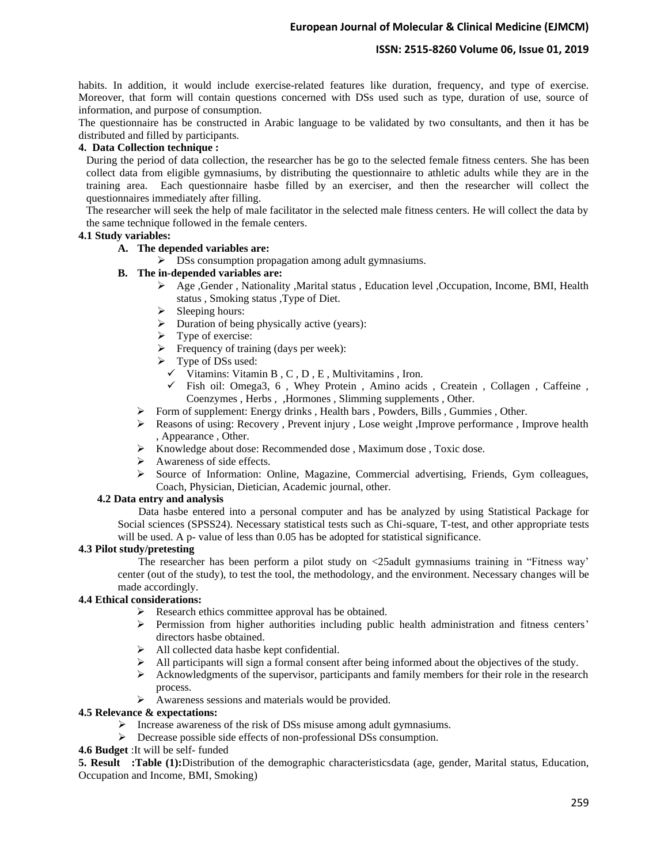## **ISSN: 2515-8260 Volume 06, Issue 01, 2019**

habits. In addition, it would include exercise-related features like duration, frequency, and type of exercise. Moreover, that form will contain questions concerned with DSs used such as type, duration of use, source of information, and purpose of consumption.

The questionnaire has be constructed in Arabic language to be validated by two consultants, and then it has be distributed and filled by participants.

## **4. Data Collection technique :**

During the period of data collection, the researcher has be go to the selected female fitness centers. She has been collect data from eligible gymnasiums, by distributing the questionnaire to athletic adults while they are in the training area. Each questionnaire hasbe filled by an exerciser, and then the researcher will collect the questionnaires immediately after filling.

The researcher will seek the help of male facilitator in the selected male fitness centers. He will collect the data by the same technique followed in the female centers.

### **4.1 Study variables:**

# **A. The depended variables are:**

➢ DSs consumption propagation among adult gymnasiums.

## **B. The in-depended variables are:**

- ➢ Age ,Gender , Nationality ,Marital status , Education level ,Occupation, Income, BMI, Health status , Smoking status ,Type of Diet.
- $\triangleright$  Sleeping hours:
- ➢ Duration of being physically active (years):
- ➢ Type of exercise:
- $\triangleright$  Frequency of training (days per week):
- ➢ Type of DSs used:
	- $\checkmark$  Vitamins: Vitamin B, C, D, E, Multivitamins, Iron.
	- ✓ Fish oil: Omega3, 6 , Whey Protein , Amino acids , Createin , Collagen , Caffeine , Coenzymes , Herbs , ,Hormones , Slimming supplements , Other.
- ➢ Form of supplement: Energy drinks , Health bars , Powders, Bills , Gummies , Other.
- ➢ Reasons of using: Recovery , Prevent injury , Lose weight ,Improve performance , Improve health , Appearance , Other.
- ➢ Knowledge about dose: Recommended dose , Maximum dose , Toxic dose.
- ➢ Awareness of side effects.
- ➢ Source of Information: Online, Magazine, Commercial advertising, Friends, Gym colleagues, Coach, Physician, Dietician, Academic journal, other.

### **4.2 Data entry and analysis**

Data hasbe entered into a personal computer and has be analyzed by using Statistical Package for Social sciences (SPSS24). Necessary statistical tests such as Chi-square, T-test, and other appropriate tests will be used. A p- value of less than 0.05 has be adopted for statistical significance.

### **4.3 Pilot study/pretesting**

The researcher has been perform a pilot study on <25adult gymnasiums training in "Fitness way' center (out of the study), to test the tool, the methodology, and the environment. Necessary changes will be made accordingly.

# **4.4 Ethical considerations:**

- ➢ Research ethics committee approval has be obtained.
- ➢ Permission from higher authorities including public health administration and fitness centers' directors hasbe obtained.
- ➢ All collected data hasbe kept confidential.
- ➢ All participants will sign a formal consent after being informed about the objectives of the study.
- $\triangleright$  Acknowledgments of the supervisor, participants and family members for their role in the research process.
- ➢ Awareness sessions and materials would be provided.

## **4.5 Relevance & expectations:**

- ➢ Increase awareness of the risk of DSs misuse among adult gymnasiums.
- ➢ Decrease possible side effects of non-professional DSs consumption.
- **4.6 Budget** :It will be self- funded

**5. Result :Table (1):**Distribution of the demographic characteristicsdata (age, gender, Marital status, Education, Occupation and Income, BMI, Smoking)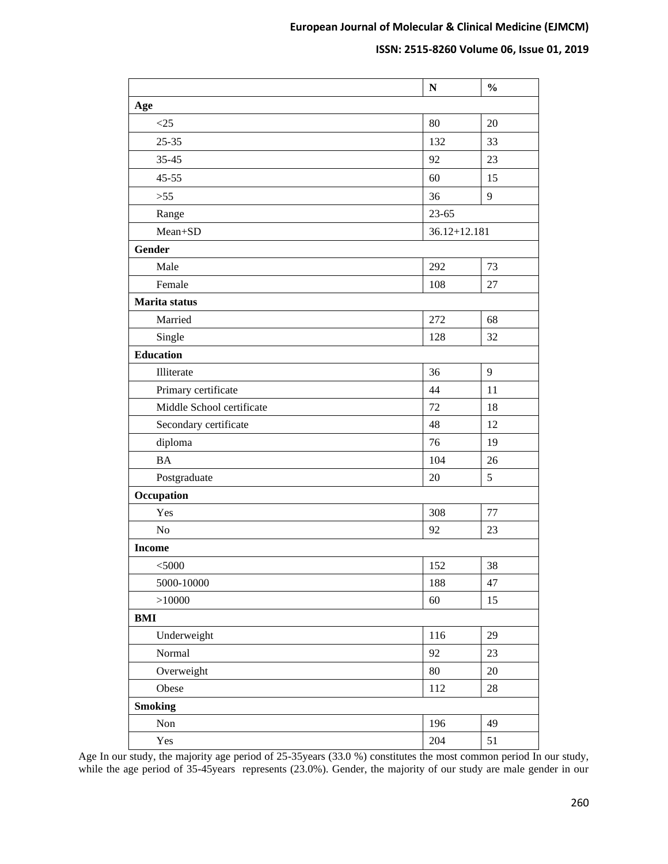# **ISSN: 2515-8260 Volume 06, Issue 01, 2019**

|                           | ${\bf N}$        | $\frac{0}{0}$ |
|---------------------------|------------------|---------------|
| Age                       |                  |               |
| <25                       | 80               | 20            |
| $25 - 35$                 | 132              | 33            |
| $35 - 45$                 | 92               | 23            |
| $45 - 55$                 | 60               | 15            |
| $>55$                     | 36               | 9             |
| Range                     | $23 - 65$        |               |
| Mean+SD                   | $36.12 + 12.181$ |               |
| Gender                    |                  |               |
| Male                      | 292              | 73            |
| Female                    | 108              | 27            |
| Marita status             |                  |               |
| Married                   | 272              | 68            |
| Single                    | 128              | 32            |
| <b>Education</b>          |                  |               |
| Illiterate                | 36               | 9             |
| Primary certificate       | 44               | 11            |
| Middle School certificate | 72               | 18            |
| Secondary certificate     | 48               | 12            |
| diploma                   | 76               | 19            |
| <b>BA</b>                 | 104              | 26            |
| Postgraduate              | 20               | 5             |
| Occupation                |                  |               |
| Yes                       | 308              | 77            |
| N <sub>o</sub>            | 92               | 23            |
| <b>Income</b>             |                  |               |
| $<$ 5000                  | 152              | $38\,$        |
| 5000-10000                | 188              | 47            |
| >10000                    | 60               | 15            |
| <b>BMI</b>                |                  |               |
| Underweight               | 116              | 29            |
| Normal                    | 92               | 23            |
| Overweight                | 80               | $20\,$        |
| Obese                     | 112              | $28\,$        |
| <b>Smoking</b>            |                  |               |
| $\mbox{Non}$              | 196              | 49            |
| Yes                       | $204\,$          | 51            |

Age In our study, the majority age period of 25-35years (33.0 %) constitutes the most common period In our study, while the age period of 35-45years represents (23.0%). Gender, the majority of our study are male gender in our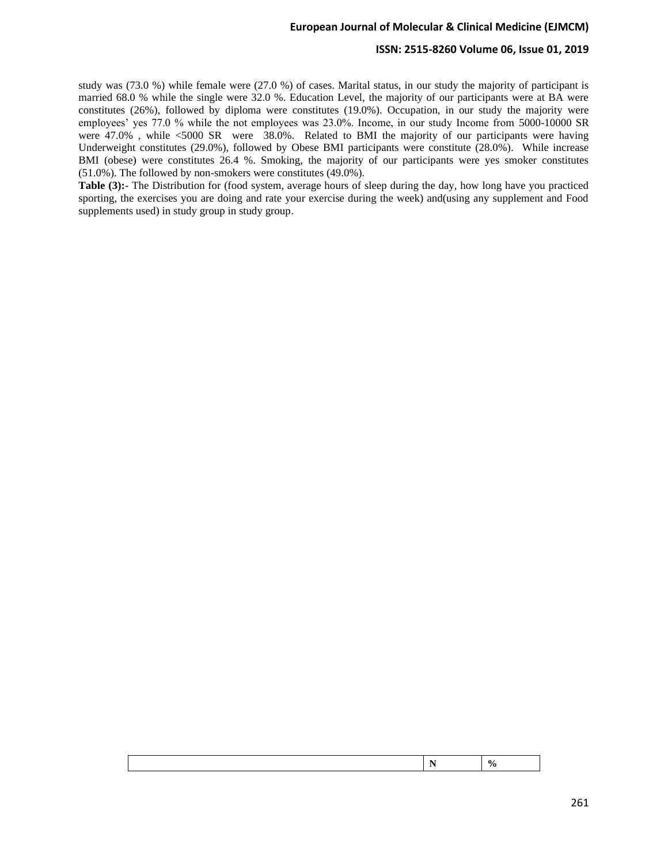## **ISSN: 2515-8260 Volume 06, Issue 01, 2019**

study was (73.0 %) while female were (27.0 %) of cases. Marital status, in our study the majority of participant is married 68.0 % while the single were 32.0 %. Education Level, the majority of our participants were at BA were constitutes (26%), followed by diploma were constitutes (19.0%). Occupation, in our study the majority were employees' yes 77.0 % while the not employees was 23.0%. Income, in our study Income from 5000-10000 SR were 47.0% , while <5000 SR were 38.0%. Related to BMI the majority of our participants were having Underweight constitutes (29.0%), followed by Obese BMI participants were constitute (28.0%). While increase BMI (obese) were constitutes 26.4 %. Smoking, the majority of our participants were yes smoker constitutes (51.0%). The followed by non-smokers were constitutes (49.0%).

**Table (3):-** The Distribution for (food system, average hours of sleep during the day, how long have you practiced sporting, the exercises you are doing and rate your exercise during the week) and(using any supplement and Food supplements used) in study group in study group.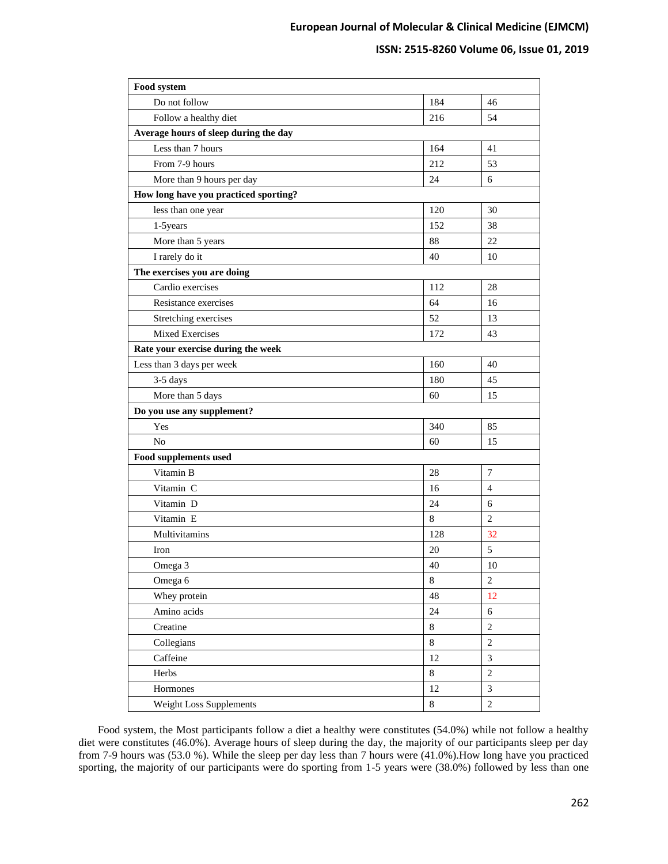## **ISSN: 2515-8260 Volume 06, Issue 01, 2019**

| Food system                           |         |                  |  |  |  |
|---------------------------------------|---------|------------------|--|--|--|
| Do not follow                         | 184     | 46               |  |  |  |
| Follow a healthy diet                 | 216     | 54               |  |  |  |
| Average hours of sleep during the day |         |                  |  |  |  |
| Less than 7 hours                     | 164     | 41               |  |  |  |
| From 7-9 hours                        | 212     | 53               |  |  |  |
| More than 9 hours per day             | 24      | 6                |  |  |  |
| How long have you practiced sporting? |         |                  |  |  |  |
| less than one year                    | 120     | 30               |  |  |  |
| 1-5years                              | 152     | 38               |  |  |  |
| More than 5 years                     | 88      | 22               |  |  |  |
| I rarely do it                        | 40      | 10               |  |  |  |
| The exercises you are doing           |         |                  |  |  |  |
| Cardio exercises                      | 112     | 28               |  |  |  |
| Resistance exercises                  | 64      | 16               |  |  |  |
| Stretching exercises                  | 52      | 13               |  |  |  |
| <b>Mixed Exercises</b>                | 172     | 43               |  |  |  |
| Rate your exercise during the week    |         |                  |  |  |  |
| Less than 3 days per week             | 160     | 40               |  |  |  |
| $3-5$ days                            | 180     | 45               |  |  |  |
| More than 5 days                      | 60      | 15               |  |  |  |
| Do you use any supplement?            |         |                  |  |  |  |
| Yes                                   | 340     | 85               |  |  |  |
| N <sub>o</sub>                        | 60      | 15               |  |  |  |
| Food supplements used                 |         |                  |  |  |  |
| Vitamin B                             | 28      | $\overline{7}$   |  |  |  |
| Vitamin C                             | 16      | 4                |  |  |  |
| Vitamin D                             | 24      | 6                |  |  |  |
| Vitamin E                             | 8       | $\overline{c}$   |  |  |  |
| Multivitamins                         | 128     | 32               |  |  |  |
| Iron                                  | 20      | 5                |  |  |  |
| Omega 3                               | 40      | 10               |  |  |  |
| Omega 6                               | 8       | $\mathbf{2}$     |  |  |  |
| Whey protein                          | 48      | 12               |  |  |  |
| Amino acids                           | 24      | 6                |  |  |  |
| Creatine                              | $\,8\,$ | $\overline{2}$   |  |  |  |
| Collegians                            | $8\,$   | $\sqrt{2}$       |  |  |  |
| Caffeine                              | 12      | $\mathfrak{Z}$   |  |  |  |
| Herbs                                 | $8\,$   | $\sqrt{2}$       |  |  |  |
| Hormones                              | 12      | $\mathfrak{Z}$   |  |  |  |
| Weight Loss Supplements               | $\,8\,$ | $\boldsymbol{2}$ |  |  |  |

 Food system, the Most participants follow a diet a healthy were constitutes (54.0%) while not follow a healthy diet were constitutes (46.0%). Average hours of sleep during the day, the majority of our participants sleep per day from 7-9 hours was (53.0 %). While the sleep per day less than 7 hours were (41.0%).How long have you practiced sporting, the majority of our participants were do sporting from 1-5 years were (38.0%) followed by less than one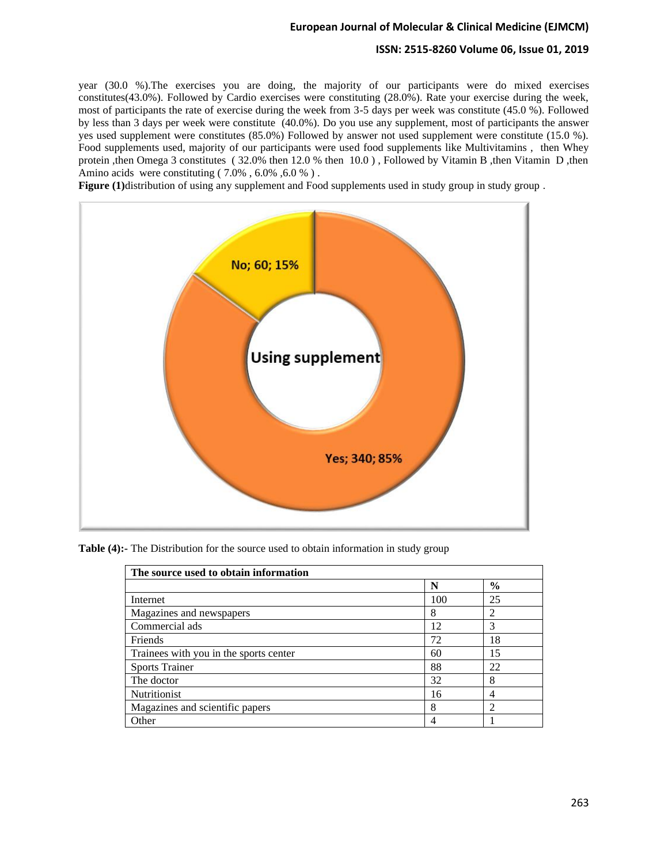## **ISSN: 2515-8260 Volume 06, Issue 01, 2019**

year (30.0 %).The exercises you are doing, the majority of our participants were do mixed exercises constitutes(43.0%). Followed by Cardio exercises were constituting (28.0%). Rate your exercise during the week, most of participants the rate of exercise during the week from 3-5 days per week was constitute (45.0 %). Followed by less than 3 days per week were constitute (40.0%). Do you use any supplement, most of participants the answer yes used supplement were constitutes (85.0%) Followed by answer not used supplement were constitute (15.0 %). Food supplements used, majority of our participants were used food supplements like Multivitamins , then Whey protein ,then Omega 3 constitutes ( 32.0% then 12.0 % then 10.0 ) , Followed by Vitamin B ,then Vitamin D ,then Amino acids were constituting  $(7.0\%$ ,  $6.0\%$ ,  $6.0\%$ ).

**Figure (1)**distribution of using any supplement and Food supplements used in study group in study group.



**Table (4):-** The Distribution for the source used to obtain information in study group

| The source used to obtain information  |     |                |  |  |  |
|----------------------------------------|-----|----------------|--|--|--|
|                                        | N   | $\frac{0}{0}$  |  |  |  |
| Internet                               | 100 | 25             |  |  |  |
| Magazines and newspapers               | 8   | 2              |  |  |  |
| Commercial ads                         | 12  | 3              |  |  |  |
| Friends                                | 72  | 18             |  |  |  |
| Trainees with you in the sports center | 60  | 15             |  |  |  |
| <b>Sports Trainer</b>                  | 88  | 22             |  |  |  |
| The doctor                             | 32  | 8              |  |  |  |
| Nutritionist                           | 16  | 4              |  |  |  |
| Magazines and scientific papers        | 8   | $\mathfrak{D}$ |  |  |  |
| Other                                  |     |                |  |  |  |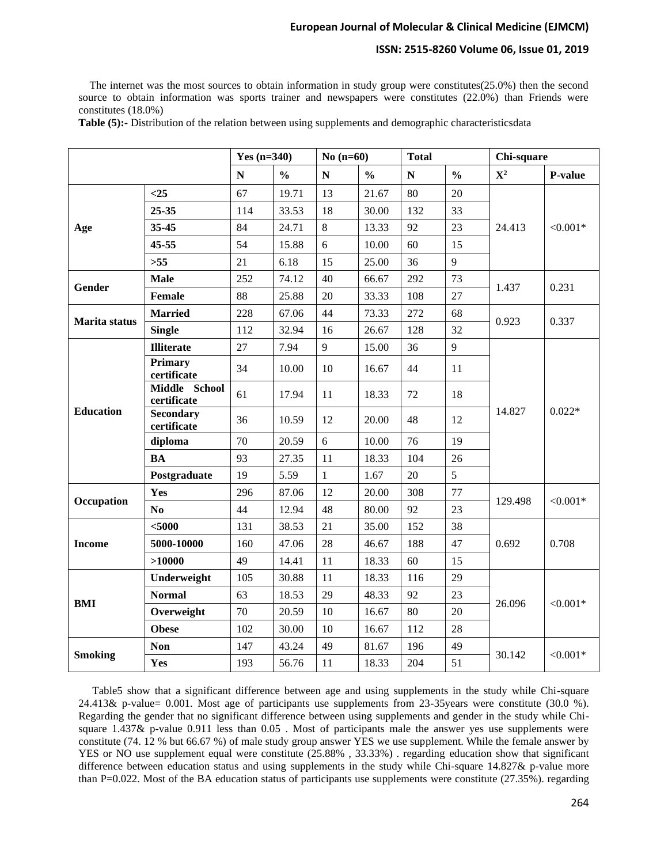# **ISSN: 2515-8260 Volume 06, Issue 01, 2019**

 The internet was the most sources to obtain information in study group were constitutes(25.0%) then the second source to obtain information was sports trainer and newspapers were constitutes (22.0%) than Friends were constitutes (18.0%)

**Table (5):-** Distribution of the relation between using supplements and demographic characteristicsdata

|                  |                                 | Yes $(n=340)$ | No $(n=60)$   |              | <b>Total</b>  |           | Chi-square    |             |             |
|------------------|---------------------------------|---------------|---------------|--------------|---------------|-----------|---------------|-------------|-------------|
|                  |                                 | ${\bf N}$     | $\frac{0}{0}$ | $\mathbf N$  | $\frac{0}{0}$ | ${\bf N}$ | $\frac{0}{0}$ | ${\bf X}^2$ | P-value     |
|                  | $<$ 25                          | 67            | 19.71         | 13           | 21.67         | 80        | 20            |             | ${<}0.001*$ |
|                  | 25-35                           | 114           | 33.53         | 18           | 30.00         | 132       | 33            |             |             |
| Age              | 35-45                           | 84            | 24.71         | $8\,$        | 13.33         | 92        | 23            | 24.413      |             |
|                  | 45-55                           | 54            | 15.88         | 6            | 10.00         | 60        | 15            |             |             |
|                  | $>55$                           | 21            | 6.18          | 15           | 25.00         | 36        | 9             |             |             |
| <b>Gender</b>    | <b>Male</b>                     | 252           | 74.12         | 40           | 66.67         | 292       | 73            | 1.437       | 0.231       |
|                  | Female                          | 88            | 25.88         | 20           | 33.33         | 108       | 27            |             |             |
| Marita status    | <b>Married</b>                  | 228           | 67.06         | 44           | 73.33         | 272       | 68            | 0.923       | 0.337       |
|                  | <b>Single</b>                   | 112           | 32.94         | 16           | 26.67         | 128       | 32            |             |             |
|                  | <b>Illiterate</b>               | 27            | 7.94          | 9            | 15.00         | 36        | 9             | 14.827      | $0.022*$    |
|                  | <b>Primary</b><br>certificate   | 34            | 10.00         | 10           | 16.67         | 44        | 11            |             |             |
|                  | Middle School<br>certificate    | 61            | 17.94         | 11           | 18.33         | 72        | 18            |             |             |
| <b>Education</b> | <b>Secondary</b><br>certificate | 36            | 10.59         | 12           | 20.00         | 48        | 12            |             |             |
|                  | diploma                         | 70            | 20.59         | 6            | 10.00         | 76        | 19            |             |             |
|                  | <b>BA</b>                       | 93            | 27.35         | 11           | 18.33         | 104       | 26            |             |             |
|                  | Postgraduate                    | 19            | 5.59          | $\mathbf{1}$ | 1.67          | 20        | 5             |             |             |
| Occupation       | Yes                             | 296           | 87.06         | 12           | 20.00         | 308       | 77            | 129.498     | $< 0.001*$  |
|                  | No                              | 44            | 12.94         | 48           | 80.00         | 92        | 23            |             |             |
|                  | $5000$                          | 131           | 38.53         | 21           | 35.00         | 152       | 38            | 0.692       | 0.708       |
| <b>Income</b>    | 5000-10000                      | 160           | 47.06         | 28           | 46.67         | 188       | 47            |             |             |
|                  | >10000                          | 49            | 14.41         | 11           | 18.33         | 60        | 15            |             |             |
|                  | Underweight                     | 105           | 30.88         | 11           | 18.33         | 116       | 29            | 26.096      | $< 0.001*$  |
| <b>BMI</b>       | <b>Normal</b>                   | 63            | 18.53         | 29           | 48.33         | 92        | 23            |             |             |
|                  | Overweight                      | 70            | 20.59         | 10           | 16.67         | 80        | 20            |             |             |
|                  | <b>Obese</b>                    | 102           | 30.00         | 10           | 16.67         | 112       | $28\,$        |             |             |
| <b>Smoking</b>   | <b>Non</b>                      | 147           | 43.24         | 49           | 81.67         | 196       | 49            | 30.142      | $< 0.001*$  |
|                  | Yes                             | 193           | 56.76         | 11           | 18.33         | 204       | 51            |             |             |

 Table5 show that a significant difference between age and using supplements in the study while Chi-square 24.413& p-value= 0.001. Most age of participants use supplements from 23-35years were constitute (30.0 %). Regarding the gender that no significant difference between using supplements and gender in the study while Chisquare  $1.437\&$  p-value  $0.911$  less than  $0.05$ . Most of participants male the answer yes use supplements were constitute (74. 12 % but 66.67 %) of male study group answer YES we use supplement. While the female answer by YES or NO use supplement equal were constitute (25.88% , 33.33%) . regarding education show that significant difference between education status and using supplements in the study while Chi-square 14.827& p-value more than P=0.022. Most of the BA education status of participants use supplements were constitute (27.35%). regarding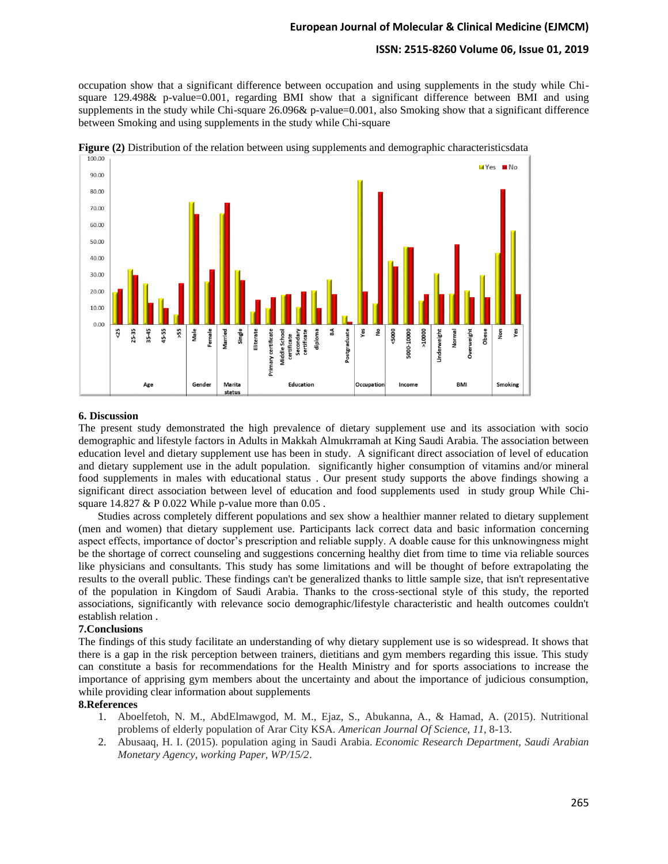# **ISSN: 2515-8260 Volume 06, Issue 01, 2019**

occupation show that a significant difference between occupation and using supplements in the study while Chisquare 129.498& p-value=0.001, regarding BMI show that a significant difference between BMI and using supplements in the study while Chi-square 26.096& p-value=0.001, also Smoking show that a significant difference between Smoking and using supplements in the study while Chi-square





#### **6. Discussion**

The present study demonstrated the high prevalence of dietary supplement use and its association with socio demographic and lifestyle factors in Adults in Makkah Almukrramah at King Saudi Arabia. The association between education level and dietary supplement use has been in study. A significant direct association of level of education and dietary supplement use in the adult population. significantly higher consumption of vitamins and/or mineral food supplements in males with educational status . Our present study supports the above findings showing a significant direct association between level of education and food supplements used in study group While Chisquare  $14.827 \& P \, 0.022$  While p-value more than  $0.05$ .

 Studies across completely different populations and sex show a healthier manner related to dietary supplement (men and women) that dietary supplement use. Participants lack correct data and basic information concerning aspect effects, importance of doctor's prescription and reliable supply. A doable cause for this unknowingness might be the shortage of correct counseling and suggestions concerning healthy diet from time to time via reliable sources like physicians and consultants. This study has some limitations and will be thought of before extrapolating the results to the overall public. These findings can't be generalized thanks to little sample size, that isn't representative of the population in Kingdom of Saudi Arabia. Thanks to the cross-sectional style of this study, the reported associations, significantly with relevance socio demographic/lifestyle characteristic and health outcomes couldn't establish relation .

# **7.Conclusions**

The findings of this study facilitate an understanding of why dietary supplement use is so widespread. It shows that there is a gap in the risk perception between trainers, dietitians and gym members regarding this issue. This study can constitute a basis for recommendations for the Health Ministry and for sports associations to increase the importance of apprising gym members about the uncertainty and about the importance of judicious consumption, while providing clear information about supplements

### **8.References**

- 1. Aboelfetoh, N. M., AbdElmawgod, M. M., Ejaz, S., Abukanna, A., & Hamad, A. (2015). Nutritional problems of elderly population of Arar City KSA. *American Journal Of Science*, *11*, 8-13.
- 2. Abusaaq, H. I. (2015). population aging in Saudi Arabia. *Economic Research Department, Saudi Arabian Monetary Agency, working Paper, WP/15/2*.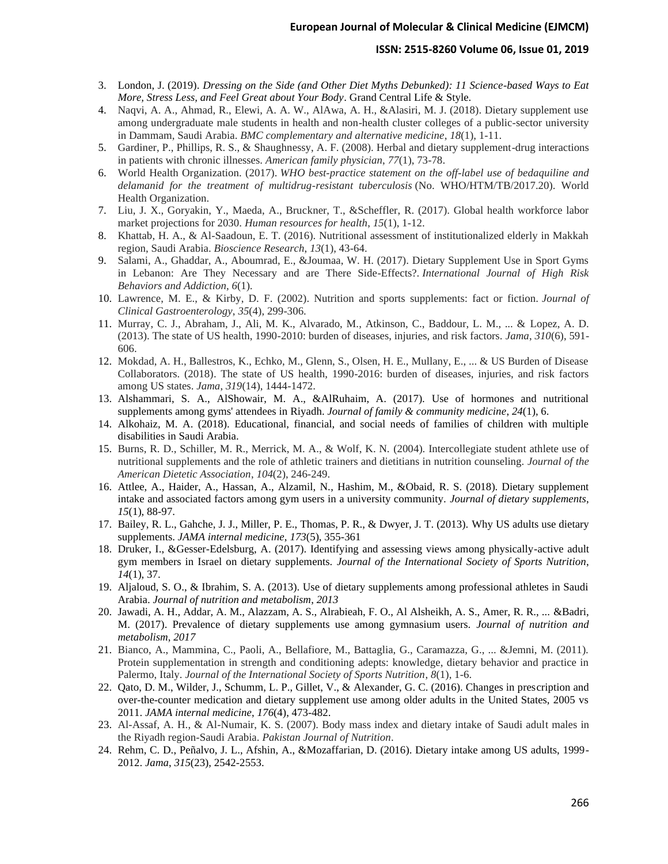#### **ISSN: 2515-8260 Volume 06, Issue 01, 2019**

- 3. London, J. (2019). *Dressing on the Side (and Other Diet Myths Debunked): 11 Science-based Ways to Eat More, Stress Less, and Feel Great about Your Body*. Grand Central Life & Style.
- 4. Naqvi, A. A., Ahmad, R., Elewi, A. A. W., AlAwa, A. H., &Alasiri, M. J. (2018). Dietary supplement use among undergraduate male students in health and non-health cluster colleges of a public-sector university in Dammam, Saudi Arabia. *BMC complementary and alternative medicine*, *18*(1), 1-11.
- 5. Gardiner, P., Phillips, R. S., & Shaughnessy, A. F. (2008). Herbal and dietary supplement-drug interactions in patients with chronic illnesses. *American family physician*, *77*(1), 73-78.
- 6. World Health Organization. (2017). *WHO best-practice statement on the off-label use of bedaquiline and delamanid for the treatment of multidrug-resistant tuberculosis* (No. WHO/HTM/TB/2017.20). World Health Organization.
- 7. Liu, J. X., Goryakin, Y., Maeda, A., Bruckner, T., &Scheffler, R. (2017). Global health workforce labor market projections for 2030. *Human resources for health*, *15*(1), 1-12.
- 8. Khattab, H. A., & Al-Saadoun, E. T. (2016). Nutritional assessment of institutionalized elderly in Makkah region, Saudi Arabia. *Bioscience Research*, *13*(1), 43-64.
- 9. Salami, A., Ghaddar, A., Aboumrad, E., &Joumaa, W. H. (2017). Dietary Supplement Use in Sport Gyms in Lebanon: Are They Necessary and are There Side-Effects?. *International Journal of High Risk Behaviors and Addiction*, *6*(1).
- 10. Lawrence, M. E., & Kirby, D. F. (2002). Nutrition and sports supplements: fact or fiction. *Journal of Clinical Gastroenterology*, *35*(4), 299-306.
- 11. Murray, C. J., Abraham, J., Ali, M. K., Alvarado, M., Atkinson, C., Baddour, L. M., ... & Lopez, A. D. (2013). The state of US health, 1990-2010: burden of diseases, injuries, and risk factors. *Jama*, *310*(6), 591- 606.
- 12. Mokdad, A. H., Ballestros, K., Echko, M., Glenn, S., Olsen, H. E., Mullany, E., ... & US Burden of Disease Collaborators. (2018). The state of US health, 1990-2016: burden of diseases, injuries, and risk factors among US states. *Jama*, *319*(14), 1444-1472.
- 13. Alshammari, S. A., AlShowair, M. A., &AlRuhaim, A. (2017). Use of hormones and nutritional supplements among gyms' attendees in Riyadh. *Journal of family & community medicine*, *24*(1), 6.
- 14. Alkohaiz, M. A. (2018). Educational, financial, and social needs of families of children with multiple disabilities in Saudi Arabia.
- 15. Burns, R. D., Schiller, M. R., Merrick, M. A., & Wolf, K. N. (2004). Intercollegiate student athlete use of nutritional supplements and the role of athletic trainers and dietitians in nutrition counseling. *Journal of the American Dietetic Association*, *104*(2), 246-249.
- 16. Attlee, A., Haider, A., Hassan, A., Alzamil, N., Hashim, M., &Obaid, R. S. (2018). Dietary supplement intake and associated factors among gym users in a university community. *Journal of dietary supplements*, *15*(1), 88-97.
- 17. Bailey, R. L., Gahche, J. J., Miller, P. E., Thomas, P. R., & Dwyer, J. T. (2013). Why US adults use dietary supplements. *JAMA internal medicine*, *173*(5), 355-361
- 18. Druker, I., &Gesser-Edelsburg, A. (2017). Identifying and assessing views among physically-active adult gym members in Israel on dietary supplements. *Journal of the International Society of Sports Nutrition*, *14*(1), 37.
- 19. Aljaloud, S. O., & Ibrahim, S. A. (2013). Use of dietary supplements among professional athletes in Saudi Arabia. *Journal of nutrition and metabolism*, *2013*
- 20. Jawadi, A. H., Addar, A. M., Alazzam, A. S., Alrabieah, F. O., Al Alsheikh, A. S., Amer, R. R., ... &Badri, M. (2017). Prevalence of dietary supplements use among gymnasium users. *Journal of nutrition and metabolism*, *2017*
- 21. Bianco, A., Mammina, C., Paoli, A., Bellafiore, M., Battaglia, G., Caramazza, G., ... &Jemni, M. (2011). Protein supplementation in strength and conditioning adepts: knowledge, dietary behavior and practice in Palermo, Italy. *Journal of the International Society of Sports Nutrition*, *8*(1), 1-6.
- 22. Qato, D. M., Wilder, J., Schumm, L. P., Gillet, V., & Alexander, G. C. (2016). Changes in prescription and over-the-counter medication and dietary supplement use among older adults in the United States, 2005 vs 2011. *JAMA internal medicine*, *176*(4), 473-482.
- 23. Al-Assaf, A. H., & Al-Numair, K. S. (2007). Body mass index and dietary intake of Saudi adult males in the Riyadh region-Saudi Arabia. *Pakistan Journal of Nutrition*.
- 24. Rehm, C. D., Peñalvo, J. L., Afshin, A., &Mozaffarian, D. (2016). Dietary intake among US adults, 1999- 2012. *Jama*, *315*(23), 2542-2553.